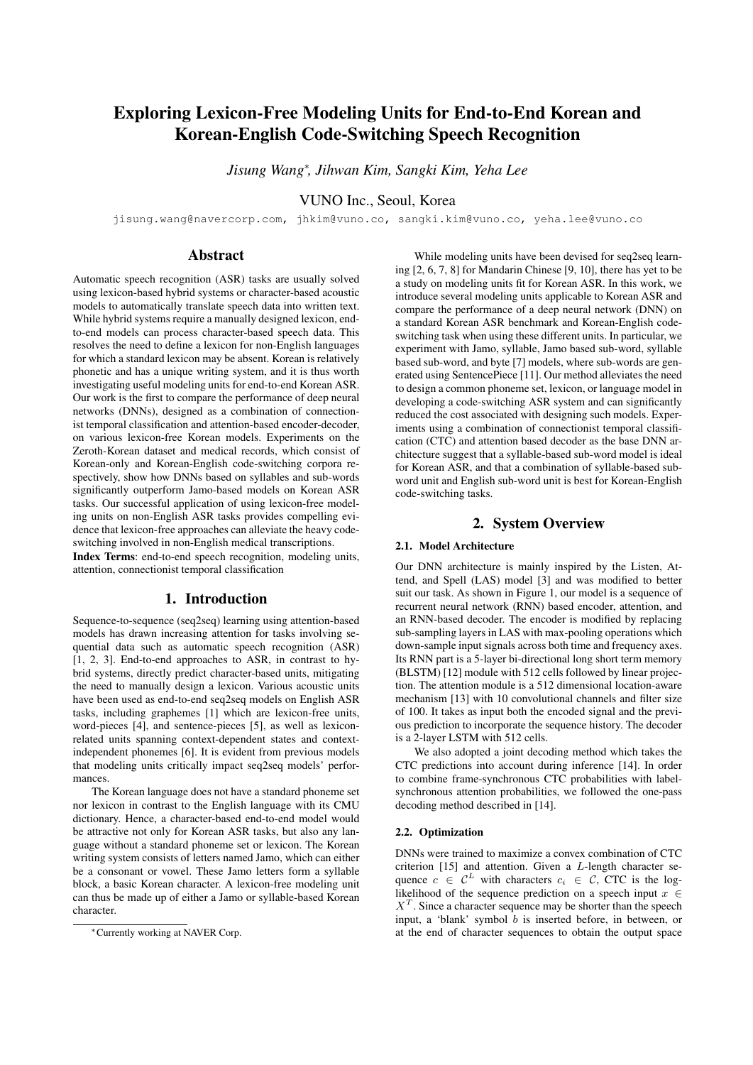# Exploring Lexicon-Free Modeling Units for End-to-End Korean and Korean-English Code-Switching Speech Recognition

*Jisung Wang*<sup>∗</sup> *, Jihwan Kim, Sangki Kim, Yeha Lee*

VUNO Inc., Seoul, Korea

jisung.wang@navercorp.com, jhkim@vuno.co, sangki.kim@vuno.co, yeha.lee@vuno.co

# Abstract

Automatic speech recognition (ASR) tasks are usually solved using lexicon-based hybrid systems or character-based acoustic models to automatically translate speech data into written text. While hybrid systems require a manually designed lexicon, endto-end models can process character-based speech data. This resolves the need to define a lexicon for non-English languages for which a standard lexicon may be absent. Korean is relatively phonetic and has a unique writing system, and it is thus worth investigating useful modeling units for end-to-end Korean ASR. Our work is the first to compare the performance of deep neural networks (DNNs), designed as a combination of connectionist temporal classification and attention-based encoder-decoder, on various lexicon-free Korean models. Experiments on the Zeroth-Korean dataset and medical records, which consist of Korean-only and Korean-English code-switching corpora respectively, show how DNNs based on syllables and sub-words significantly outperform Jamo-based models on Korean ASR tasks. Our successful application of using lexicon-free modeling units on non-English ASR tasks provides compelling evidence that lexicon-free approaches can alleviate the heavy codeswitching involved in non-English medical transcriptions. Index Terms: end-to-end speech recognition, modeling units,

attention, connectionist temporal classification

# 1. Introduction

Sequence-to-sequence (seq2seq) learning using attention-based models has drawn increasing attention for tasks involving sequential data such as automatic speech recognition (ASR) [1, 2, 3]. End-to-end approaches to ASR, in contrast to hybrid systems, directly predict character-based units, mitigating the need to manually design a lexicon. Various acoustic units have been used as end-to-end seq2seq models on English ASR tasks, including graphemes [1] which are lexicon-free units, word-pieces [4], and sentence-pieces [5], as well as lexiconrelated units spanning context-dependent states and contextindependent phonemes [6]. It is evident from previous models that modeling units critically impact seq2seq models' performances.

The Korean language does not have a standard phoneme set nor lexicon in contrast to the English language with its CMU dictionary. Hence, a character-based end-to-end model would be attractive not only for Korean ASR tasks, but also any language without a standard phoneme set or lexicon. The Korean writing system consists of letters named Jamo, which can either be a consonant or vowel. These Jamo letters form a syllable block, a basic Korean character. A lexicon-free modeling unit can thus be made up of either a Jamo or syllable-based Korean character.

While modeling units have been devised for seq2seq learning [2, 6, 7, 8] for Mandarin Chinese [9, 10], there has yet to be a study on modeling units fit for Korean ASR. In this work, we introduce several modeling units applicable to Korean ASR and compare the performance of a deep neural network (DNN) on a standard Korean ASR benchmark and Korean-English codeswitching task when using these different units. In particular, we experiment with Jamo, syllable, Jamo based sub-word, syllable based sub-word, and byte [7] models, where sub-words are generated using SentencePiece [11]. Our method alleviates the need to design a common phoneme set, lexicon, or language model in developing a code-switching ASR system and can significantly reduced the cost associated with designing such models. Experiments using a combination of connectionist temporal classification (CTC) and attention based decoder as the base DNN architecture suggest that a syllable-based sub-word model is ideal for Korean ASR, and that a combination of syllable-based subword unit and English sub-word unit is best for Korean-English code-switching tasks.

# 2. System Overview

### 2.1. Model Architecture

Our DNN architecture is mainly inspired by the Listen, Attend, and Spell (LAS) model [3] and was modified to better suit our task. As shown in Figure 1, our model is a sequence of recurrent neural network (RNN) based encoder, attention, and an RNN-based decoder. The encoder is modified by replacing sub-sampling layers in LAS with max-pooling operations which down-sample input signals across both time and frequency axes. Its RNN part is a 5-layer bi-directional long short term memory (BLSTM) [12] module with 512 cells followed by linear projection. The attention module is a 512 dimensional location-aware mechanism [13] with 10 convolutional channels and filter size of 100. It takes as input both the encoded signal and the previous prediction to incorporate the sequence history. The decoder is a 2-layer LSTM with 512 cells.

We also adopted a joint decoding method which takes the CTC predictions into account during inference [14]. In order to combine frame-synchronous CTC probabilities with labelsynchronous attention probabilities, we followed the one-pass decoding method described in [14].

### 2.2. Optimization

DNNs were trained to maximize a convex combination of CTC criterion  $[15]$  and attention. Given a *L*-length character sequence  $c \in \mathcal{C}^L$  with characters  $c_i \in \mathcal{C}$ , CTC is the loglikelihood of the sequence prediction on a speech input  $x \in$  $X<sup>T</sup>$ . Since a character sequence may be shorter than the speech input, a 'blank' symbol  $\overline{b}$  is inserted before, in between, or at the end of character sequences to obtain the output space

<sup>∗</sup>Currently working at NAVER Corp.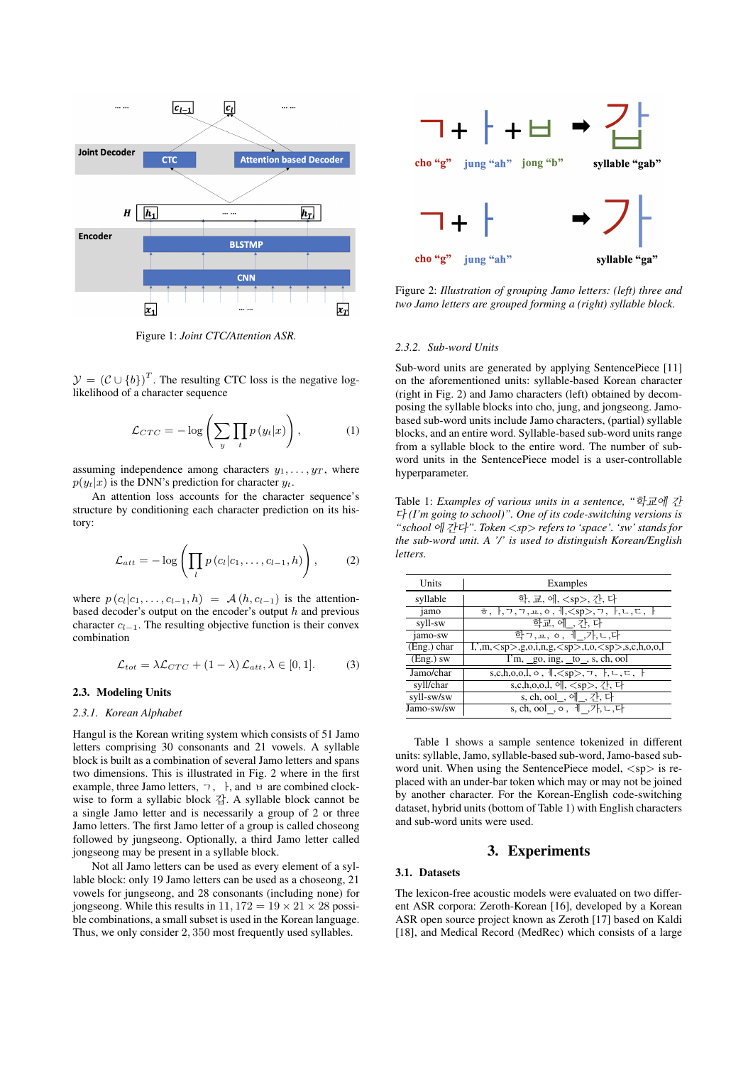

Figure 1: *Joint CTC/Attention ASR.*

 $\mathcal{Y} = (\mathcal{C} \cup \{b\})^T$ . The resulting CTC loss is the negative loglikelihood of a character sequence

$$
\mathcal{L}_{CTC} = -\log\left(\sum_{y} \prod_{t} p\left(y_t|x\right)\right),\tag{1}
$$

assuming independence among characters  $y_1, \ldots, y_T$ , where  $p(y_t|x)$  is the DNN's prediction for character  $y_t$ .

An attention loss accounts for the character sequence's structure by conditioning each character prediction on its history:

$$
\mathcal{L}_{att} = -\log\left(\prod_{l} p\left(c_l|c_1,\ldots,c_{l-1},h\right)\right),\qquad(2)
$$

where  $p(c_l|c_1, \ldots, c_{l-1}, h) = A(h, c_{l-1})$  is the attentionbased decoder's output on the encoder's output  $h$  and previous character  $c_{l-1}$ . The resulting objective function is their convex combination

$$
\mathcal{L}_{tot} = \lambda \mathcal{L}_{CTC} + (1 - \lambda) \mathcal{L}_{att}, \lambda \in [0, 1]. \tag{3}
$$

### 2.3. Modeling Units

### *2.3.1. Korean Alphabet*

Hangul is the Korean writing system which consists of 51 Jamo letters comprising 30 consonants and 21 vowels. A syllable block is built as a combination of several Jamo letters and spans two dimensions. This is illustrated in Fig. 2 where in the first example, three Jamo letters,  $\lnot$ ,  $\lnot$ , and  $\lnot$  are combined clockwise to form a syllabic block 갑. A syllable block cannot be a single Jamo letter and is necessarily a group of 2 or three Jamo letters. The first Jamo letter of a group is called choseong followed by jungseong. Optionally, a third Jamo letter called jongseong may be present in a syllable block.

Not all Jamo letters can be used as every element of a syllable block: only 19 Jamo letters can be used as a choseong, 21 vowels for jungseong, and 28 consonants (including none) for jongseong. While this results in  $11, 172 = 19 \times 21 \times 28$  possible combinations, a small subset is used in the Korean language. Thus, we only consider 2, 350 most frequently used syllables.



Figure 2: *Illustration of grouping Jamo letters: (left) three and two Jamo letters are grouped forming a (right) syllable block.*

#### *2.3.2. Sub-word Units*

Sub-word units are generated by applying SentencePiece [11] on the aforementioned units: syllable-based Korean character (right in Fig. 2) and Jamo characters (left) obtained by decomposing the syllable blocks into cho, jung, and jongseong. Jamobased sub-word units include Jamo characters, (partial) syllable blocks, and an entire word. Syllable-based sub-word units range from a syllable block to the entire word. The number of subword units in the SentencePiece model is a user-controllable hyperparameter.

Table 1: *Examples of various units in a sentence, "*학교에 간 다 *(I'm going to school)". One of its code-switching versions is "school* 에 간다*". Token* <*sp*> *refers to 'space'. 'sw' stands for the sub-word unit. A '/' is used to distinguish Korean/English letters.*

| Units       | Examples                                                                                              |
|-------------|-------------------------------------------------------------------------------------------------------|
| syllable    | 학, 교, 에, <sp>, 간, 다</sp>                                                                              |
| jamo        | $\sigma, \, \cdot, \tau, \tau, \dots, \circ, \cdot, \cdot, \cdot, \tau, \dots, \cdot$                 |
| syll-sw     | 학교, 에 , 간, 다                                                                                          |
| jamo-sw     | 학ㄱ,ㅛ, ㅇ, ㅔ ,가,ㄴ,다                                                                                     |
| (Eng.) char | $I, 'm, , g, o, i, n, g, , t, o, , s, c, h, o, o, l$                                                  |
| (Eng.) sw   | $\overline{1'm}$ , go, ing, $_to_$ , s, ch, ool                                                       |
| Jamo/char   | s,c,h,o,o,l, o, $\exists$ , $\langle sp \rangle$ , $\exists$ , $\exists$ , $\cup$ , $\in$ , $\exists$ |
| syll/char   | s,c,h,o,o,l, 에, <sp>, 간, 다</sp>                                                                       |
| syll-sw/sw  | s, ch, ool_, 에_, 간, 다                                                                                 |
| Jamo-sw/sw  | s, ch, ool_, ㅇ, ㅔ_,가,ㄴ,다                                                                              |

Table 1 shows a sample sentence tokenized in different units: syllable, Jamo, syllable-based sub-word, Jamo-based subword unit. When using the SentencePiece model,  $\langle sp \rangle$  is replaced with an under-bar token which may or may not be joined by another character. For the Korean-English code-switching dataset, hybrid units (bottom of Table 1) with English characters and sub-word units were used.

# 3. Experiments

# 3.1. Datasets

The lexicon-free acoustic models were evaluated on two different ASR corpora: Zeroth-Korean [16], developed by a Korean ASR open source project known as Zeroth [17] based on Kaldi [18], and Medical Record (MedRec) which consists of a large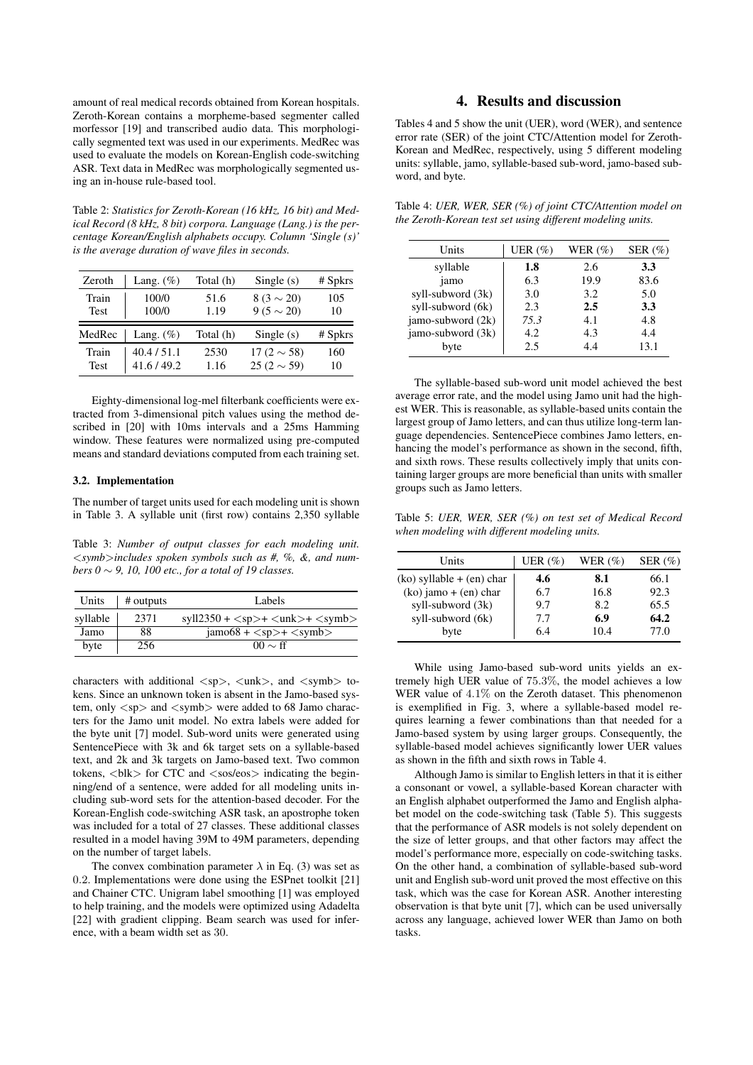amount of real medical records obtained from Korean hospitals. Zeroth-Korean contains a morpheme-based segmenter called morfessor [19] and transcribed audio data. This morphologically segmented text was used in our experiments. MedRec was used to evaluate the models on Korean-English code-switching ASR. Text data in MedRec was morphologically segmented using an in-house rule-based tool.

Table 2: *Statistics for Zeroth-Korean (16 kHz, 16 bit) and Medical Record (8 kHz, 8 bit) corpora. Language (Lang.) is the percentage Korean/English alphabets occupy. Column 'Single (s)' is the average duration of wave files in seconds.*

| Zeroth      | Lang. $(\%)$ | Total (h) | Single $(s)$     | $#$ Spkrs |
|-------------|--------------|-----------|------------------|-----------|
| Train       | 100/0        | 51.6      | $8(3 \sim 20)$   | 105       |
| <b>Test</b> | 100/0        | 1.19      | $9(5 \sim 20)$   | 10        |
| MedRec      | Lang. $(\%)$ | Total (h) | Single $(s)$     | $#$ Spkrs |
| Train       | 40.4/51.1    | 2530      | 17 (2 $\sim$ 58) | 160       |
| <b>Test</b> | 41.6/49.2    | 1.16      | 25 (2 $\sim$ 59) | 10        |

Eighty-dimensional log-mel filterbank coefficients were extracted from 3-dimensional pitch values using the method described in [20] with 10ms intervals and a 25ms Hamming window. These features were normalized using pre-computed means and standard deviations computed from each training set.

### 3.2. Implementation

The number of target units used for each modeling unit is shown in Table 3. A syllable unit (first row) contains 2,350 syllable

Table 3: *Number of output classes for each modeling unit.* <*symb*>*includes spoken symbols such as #, %, &, and numbers 0* ∼ *9, 10, 100 etc., for a total of 19 classes.*

| Units    | # outputs | Labels                              |  |  |
|----------|-----------|-------------------------------------|--|--|
| syllable | 2371      | $syl12350 +  + nk> + $              |  |  |
| Jamo     | 88        | $\text{jamo68} + \text{} + \text{}$ |  |  |
| byte     | 256       | $00 \sim \text{ff}$                 |  |  |

characters with additional  $\langle sp \rangle$ ,  $\langle unk \rangle$ , and  $\langle symbol \rangle$  tokens. Since an unknown token is absent in the Jamo-based system, only  $\langle sp \rangle$  and  $\langle symb \rangle$  were added to 68 Jamo characters for the Jamo unit model. No extra labels were added for the byte unit [7] model. Sub-word units were generated using SentencePiece with 3k and 6k target sets on a syllable-based text, and 2k and 3k targets on Jamo-based text. Two common tokens,  **for CTC and**  $**80**$ **s indicating the begin**ning/end of a sentence, were added for all modeling units including sub-word sets for the attention-based decoder. For the Korean-English code-switching ASR task, an apostrophe token was included for a total of 27 classes. These additional classes resulted in a model having 39M to 49M parameters, depending on the number of target labels.

The convex combination parameter  $\lambda$  in Eq. (3) was set as 0.2. Implementations were done using the ESPnet toolkit [21] and Chainer CTC. Unigram label smoothing [1] was employed to help training, and the models were optimized using Adadelta [22] with gradient clipping. Beam search was used for inference, with a beam width set as 30.

# 4. Results and discussion

Tables 4 and 5 show the unit (UER), word (WER), and sentence error rate (SER) of the joint CTC/Attention model for Zeroth-Korean and MedRec, respectively, using 5 different modeling units: syllable, jamo, syllable-based sub-word, jamo-based subword, and byte.

Table 4: *UER, WER, SER (%) of joint CTC/Attention model on the Zeroth-Korean test set using different modeling units.*

| Units             | UER $(\%)$ | WER $(\%)$ | SER $(\%)$ |
|-------------------|------------|------------|------------|
| syllable          | 1.8        | 2.6        | 3.3        |
| jamo              | 6.3        | 19.9       | 83.6       |
| syll-subword (3k) | 3.0        | 3.2        | 5.0        |
| syll-subword (6k) | 2.3        | 2.5        | 3.3        |
| jamo-subword (2k) | 75.3       | 4.1        | 4.8        |
| jamo-subword (3k) | 4.2        | 4.3        | 4.4        |
| byte              | 2.5        | 44         | 13.1       |

The syllable-based sub-word unit model achieved the best average error rate, and the model using Jamo unit had the highest WER. This is reasonable, as syllable-based units contain the largest group of Jamo letters, and can thus utilize long-term language dependencies. SentencePiece combines Jamo letters, enhancing the model's performance as shown in the second, fifth, and sixth rows. These results collectively imply that units containing larger groups are more beneficial than units with smaller groups such as Jamo letters.

Table 5: *UER, WER, SER (%) on test set of Medical Record when modeling with different modeling units.*

| Units                         | UER $(\%)$ | WER $(\%)$ | SER $(\%)$ |
|-------------------------------|------------|------------|------------|
| $(ko)$ syllable + $(en)$ char | 4.6        | 8.1        | 66.1       |
| $(ko)$ jamo + (en) char       | 6.7        | 16.8       | 92.3       |
| syll-subword (3k)             | 9.7        | 8.2        | 65.5       |
| syll-subword (6k)             | 7.7        | 6.9        | 64.2       |
| byte                          | 6.4        | 10.4       | 77.0       |

While using Jamo-based sub-word units yields an extremely high UER value of 75.3%, the model achieves a low WER value of  $4.1\%$  on the Zeroth dataset. This phenomenon is exemplified in Fig. 3, where a syllable-based model requires learning a fewer combinations than that needed for a Jamo-based system by using larger groups. Consequently, the syllable-based model achieves significantly lower UER values as shown in the fifth and sixth rows in Table 4.

Although Jamo is similar to English letters in that it is either a consonant or vowel, a syllable-based Korean character with an English alphabet outperformed the Jamo and English alphabet model on the code-switching task (Table 5). This suggests that the performance of ASR models is not solely dependent on the size of letter groups, and that other factors may affect the model's performance more, especially on code-switching tasks. On the other hand, a combination of syllable-based sub-word unit and English sub-word unit proved the most effective on this task, which was the case for Korean ASR. Another interesting observation is that byte unit [7], which can be used universally across any language, achieved lower WER than Jamo on both tasks.